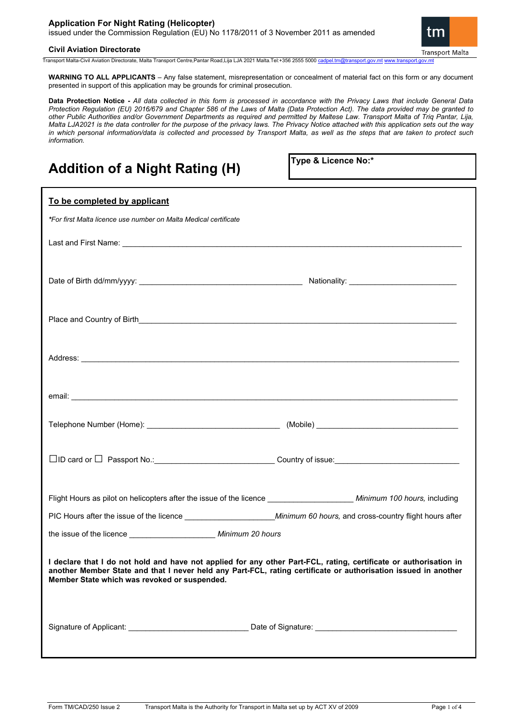# **Application For Night Rating (Helicopter)**

issued under the Commission Regulation (EU) No 1178/2011 of 3 November 2011 as amended



## **Civil Aviation Directorate**

Transport Malta-Civil Aviation Directorate, Malta Transport Centre,Pantar Road,Lija LJA 2021 Malta.Tel:+356 2555 5000

**WARNING TO ALL APPLICANTS** – Any false statement, misrepresentation or concealment of material fact on this form or any document presented in support of this application may be grounds for criminal prosecution.

**Data Protection Notice -** *All data collected in this form is processed in accordance with the Privacy Laws that include General Data Protection Regulation (EU) 2016/679 and Chapter 586 of the Laws of Malta (Data Protection Act). The data provided may be granted to other Public Authorities and/or Government Departments as required and permitted by Maltese Law. Transport Malta of Triq Pantar, Lija, Malta LJA2021 is the data controller for the purpose of the privacy laws. The Privacy Notice attached with this application sets out the way in which personal information/data is collected and processed by Transport Malta, as well as the steps that are taken to protect such information.*

# **Addition of a Night Rating (H)**

**Type & Licence No:\***

| To be completed by applicant                                                                                                                                                                                                                                                        |  |  |
|-------------------------------------------------------------------------------------------------------------------------------------------------------------------------------------------------------------------------------------------------------------------------------------|--|--|
| *For first Malta licence use number on Malta Medical certificate                                                                                                                                                                                                                    |  |  |
|                                                                                                                                                                                                                                                                                     |  |  |
|                                                                                                                                                                                                                                                                                     |  |  |
|                                                                                                                                                                                                                                                                                     |  |  |
|                                                                                                                                                                                                                                                                                     |  |  |
|                                                                                                                                                                                                                                                                                     |  |  |
|                                                                                                                                                                                                                                                                                     |  |  |
| □ID card or □ Passport No.: _________________________________Country of issue: _______________________________                                                                                                                                                                      |  |  |
| Flight Hours as pilot on helicopters after the issue of the licence ______________________ Minimum 100 hours, including                                                                                                                                                             |  |  |
|                                                                                                                                                                                                                                                                                     |  |  |
| the issue of the licence _________________________ Minimum 20 hours                                                                                                                                                                                                                 |  |  |
| I declare that I do not hold and have not applied for any other Part-FCL, rating, certificate or authorisation in<br>another Member State and that I never held any Part-FCL, rating certificate or authorisation issued in another<br>Member State which was revoked or suspended. |  |  |
|                                                                                                                                                                                                                                                                                     |  |  |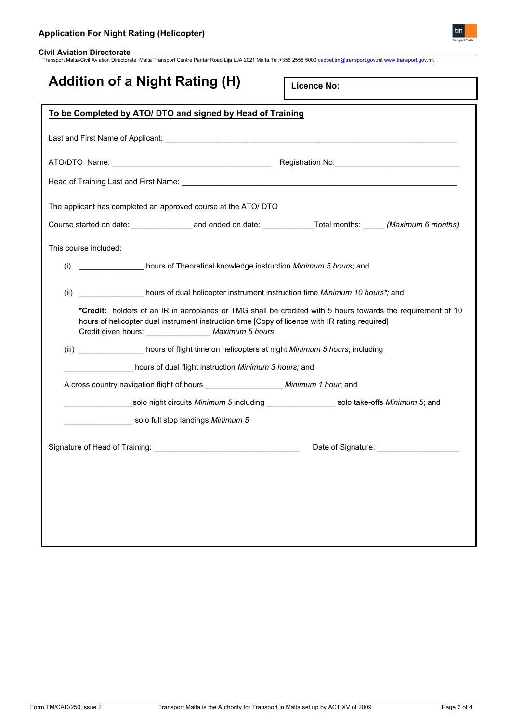

**Civil Aviation Directorate** Transport Malta-Civil Aviation Directorate, Malta Transport Centre,Pantar Road,Lija LJA 2021 Malta.Tel:+356 2555 5000 [cadpel.tm@transport.gov.mt](mailto:cadpel.tm@transport.gov.mt) [www.transport.gov.mt](http://www.transport.gov.mt/)

# **Addition of a Night Rating (H)**

**Licence No:**

| To be Completed by ATO/ DTO and signed by Head of Training                                                                                                                                                                                                              |  |  |
|-------------------------------------------------------------------------------------------------------------------------------------------------------------------------------------------------------------------------------------------------------------------------|--|--|
|                                                                                                                                                                                                                                                                         |  |  |
|                                                                                                                                                                                                                                                                         |  |  |
|                                                                                                                                                                                                                                                                         |  |  |
| The applicant has completed an approved course at the ATO/ DTO                                                                                                                                                                                                          |  |  |
|                                                                                                                                                                                                                                                                         |  |  |
| This course included:                                                                                                                                                                                                                                                   |  |  |
| hours of Theoretical knowledge instruction Minimum 5 hours; and<br>(i)                                                                                                                                                                                                  |  |  |
| hours of dual helicopter instrument instruction time Minimum 10 hours*; and<br>(ii)                                                                                                                                                                                     |  |  |
| *Credit: holders of an IR in aeroplanes or TMG shall be credited with 5 hours towards the requirement of 10<br>hours of helicopter dual instrument instruction time [Copy of licence with IR rating required]<br>Credit given hours: __________________ Maximum 5 hours |  |  |
| (iii) ___________________ hours of flight time on helicopters at night Minimum 5 hours; including                                                                                                                                                                       |  |  |
| hours of dual flight instruction Minimum 3 hours; and                                                                                                                                                                                                                   |  |  |
| A cross country navigation flight of hours ___________________ Minimum 1 hour; and                                                                                                                                                                                      |  |  |
| _______________solo night circuits <i>Minimum 5</i> including ___________________solo take-offs <i>Minimum 5</i> ; and                                                                                                                                                  |  |  |
| solo full stop landings Minimum 5                                                                                                                                                                                                                                       |  |  |
|                                                                                                                                                                                                                                                                         |  |  |
|                                                                                                                                                                                                                                                                         |  |  |
|                                                                                                                                                                                                                                                                         |  |  |
|                                                                                                                                                                                                                                                                         |  |  |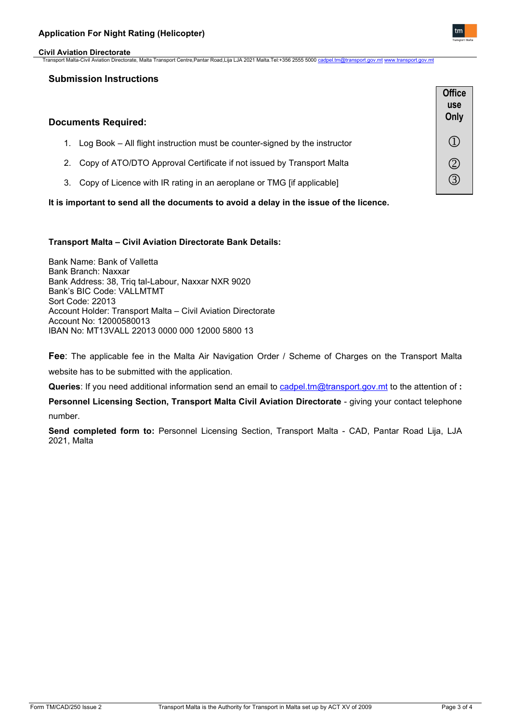#### **Civil Aviation Directorate** Transport Malta-Civil Aviation Directorate, Malta Transport Centre,Pantar Road,Lija LJA 2021 Malta.Tel:+356 2555 5000 cadpel.tm

# **Submission Instructions**

| <b>Documents Required:</b> |                                                                            | <b>Office</b><br>use<br>Only |
|----------------------------|----------------------------------------------------------------------------|------------------------------|
|                            | Log Book - All flight instruction must be counter-signed by the instructor |                              |
|                            | 2. Copy of ATO/DTO Approval Certificate if not issued by Transport Malta   |                              |
| З.                         | Copy of Licence with IR rating in an aeroplane or TMG [if applicable]      |                              |

**It is important to send all the documents to avoid a delay in the issue of the licence.**

## **Transport Malta – Civil Aviation Directorate Bank Details:**

Bank Name: Bank of Valletta Bank Branch: Naxxar Bank Address: 38, Triq tal-Labour, Naxxar NXR 9020 Bank's BIC Code: VALLMTMT Sort Code: 22013 Account Holder: Transport Malta – Civil Aviation Directorate Account No: 12000580013 IBAN No: MT13VALL 22013 0000 000 12000 5800 13

**Fee**: The applicable fee in the Malta Air Navigation Order / Scheme of Charges on the Transport Malta website has to be submitted with the application.

**Queries**: If you need additional information send an email to [cadpel.tm@transport.gov.mt](mailto:cadpel.tm@transport.gov.mt) to the attention of **:** 

**Personnel Licensing Section, Transport Malta Civil Aviation Directorate** - giving your contact telephone number.

**Send completed form to:** Personnel Licensing Section, Transport Malta - CAD, Pantar Road Lija, LJA 2021, Malta